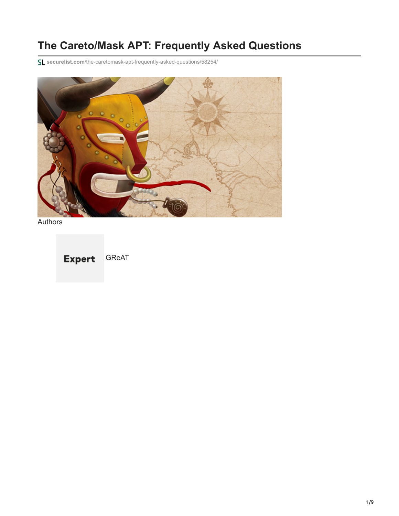# **The Careto/Mask APT: Frequently Asked Questions**

**securelist.com**[/the-caretomask-apt-frequently-asked-questions/58254/](https://securelist.com/the-caretomask-apt-frequently-asked-questions/58254/)



**Authors** 

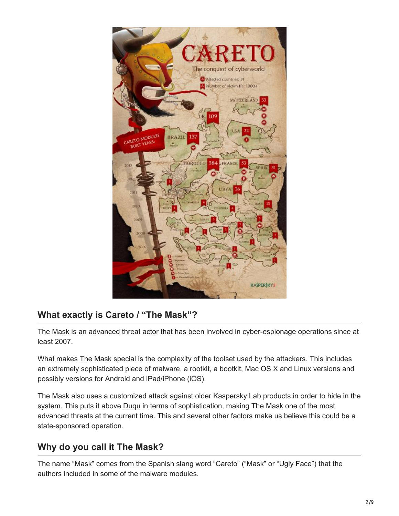

# **What exactly is Careto / "The Mask"?**

The Mask is an advanced threat actor that has been involved in cyber-espionage operations since at least 2007.

What makes The Mask special is the complexity of the toolset used by the attackers. This includes an extremely sophisticated piece of malware, a rootkit, a bootkit, Mac OS X and Linux versions and possibly versions for Android and iPad/iPhone (iOS).

The Mask also uses a customized attack against older Kaspersky Lab products in order to hide in the system. This puts it above [Duqu](http://www.kaspersky.com/about/press/major_malware_outbreaks/duqu) in terms of sophistication, making The Mask one of the most advanced threats at the current time. This and several other factors make us believe this could be a state-sponsored operation.

# **Why do you call it The Mask?**

The name "Mask" comes from the Spanish slang word "Careto" ("Mask" or "Ugly Face") that the authors included in some of the malware modules.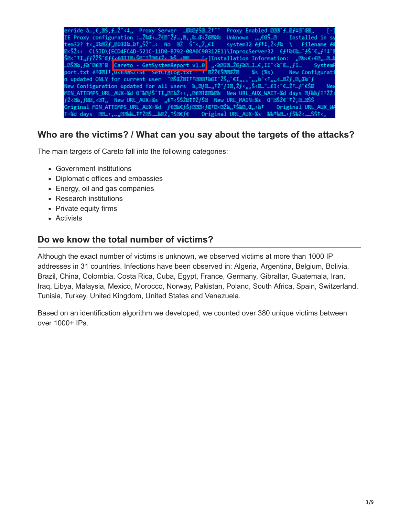| Proxy Enabled 222 f.Df#2 CED, [-]<br>erride à…,€, <i>®</i> Š, <i>f</i> …Ž^‹‡,, Proxy Server …®%@ <i>f</i> Š@…ކ^^            |
|-----------------------------------------------------------------------------------------------------------------------------|
| IE Proxy configuration :…މŒ<…Ž€図^Žf…,図,,‱.Œ<ŽŒ‰‰<br>Unknown $\mathbf{m} \in \mathbb{C}$ and Installed in sy                 |
| tem32? t‹"‡‰⊠Žƒ"⊠‡Œ‡‱…‰†"ŠŽ^…‹ No ⊠Ž Š^‹"Ž"€‡<br>system32 éf11, Ž <f‰ \="" filename="" td="" é0<=""></f‰>                   |
| <b><i>D</i></b> <ŠŽ<< CLSID\{ECD4FC4D-521C-11D0-B792-00A0C90312E1}\InprocServer32 €f1%€‰^fŠ^€"ft‡^0                         |
| Š⊠<^tt f{ŽŽŠ^Œff <entimešm^tžmrfže "<€<€@"…@…<="" <mm="" [-]installation="" information:="" td="" ‰š=""></entimešm^tžmrfže> |
| …図Š図‰,f‰^@E@^@ <mark>Careto - GetSystemReport v1.0</mark> "«ゐ21図…ŽŒf‱2…1…€,11^‹‰^Œ…,f1…   SystemR                           |
| port.txt 醌@‡†,\t <t@@sz<st %s="" (%s)="" +="" @žž€š@@œž@="" configurati<="" new="" setttglog.txt="" td=""></t@@sz<st>       |
| n updated ONLY for current user ^@ŠŒŽ@‡Tt@@@f%Œ‡~ŽŠ, et,,, , ,, %~<1,,, <@Žf, @,,Œ%~f                                       |
| New Configuration updated for all users ‰, @f @___, tŽ^f1@, Žf‹,, Š‹ @__^ __ Et‹^E __ Žt __ f^E Š @ New                     |
| MIN_ATTEMPS_URL_AUX=%d @^‰图fŠ^‡‡"図‡‰Ž‹‹,,®€図‡Œ‰®‱ New URL_AUX_WAIT=%d days 図f‰f‡†ŽŽ‹                                        |
| fŽ <b%,fbb,<b‡,, ,,€†<ššžb‡‡žfšb="" new="" td="" url_aux="%s" url_main="%s" œ`bšž€^†ž,b…bšš<=""></b%,fbb,<b‡,,>             |
| Original MIN_ATTEMPS_URL_AUX=%d fex%€fŠf2228 <fet2<22%,fš&2,œ,x%t original="" td="" url_aux_wa<=""></fet2<22%,fš&2,œ,x%t>   |
|                                                                                                                             |
|                                                                                                                             |

#### **Who are the victims? / What can you say about the targets of the attacks?**

The main targets of Careto fall into the following categories:

- Government institutions
- Diplomatic offices and embassies
- Energy, oil and gas companies
- Research institutions
- Private equity firms
- Activists

#### **Do we know the total number of victims?**

Although the exact number of victims is unknown, we observed victims at more than 1000 IP addresses in 31 countries. Infections have been observed in: Algeria, Argentina, Belgium, Bolivia, Brazil, China, Colombia, Costa Rica, Cuba, Egypt, France, Germany, Gibraltar, Guatemala, Iran, Iraq, Libya, Malaysia, Mexico, Morocco, Norway, Pakistan, Poland, South Africa, Spain, Switzerland, Tunisia, Turkey, United Kingdom, United States and Venezuela.

Based on an identification algorithm we developed, we counted over 380 unique victims between over 1000+ IPs.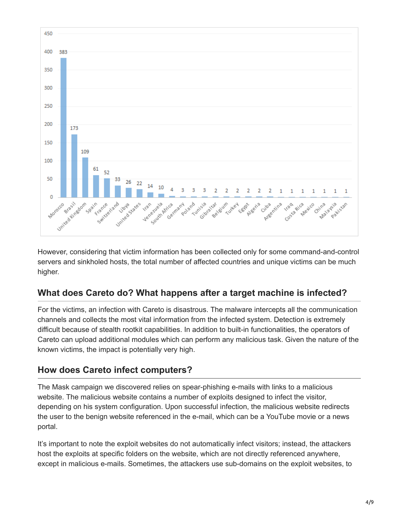

However, considering that victim information has been collected only for some command-and-control servers and sinkholed hosts, the total number of affected countries and unique victims can be much higher.

# **What does Careto do? What happens after a target machine is infected?**

For the victims, an infection with Careto is disastrous. The malware intercepts all the communication channels and collects the most vital information from the infected system. Detection is extremely difficult because of stealth rootkit capabilities. In addition to built-in functionalities, the operators of Careto can upload additional modules which can perform any malicious task. Given the nature of the known victims, the impact is potentially very high.

# **How does Careto infect computers?**

The Mask campaign we discovered relies on spear-phishing e-mails with links to a malicious website. The malicious website contains a number of exploits designed to infect the visitor, depending on his system configuration. Upon successful infection, the malicious website redirects the user to the benign website referenced in the e-mail, which can be a YouTube movie or a news portal.

It's important to note the exploit websites do not automatically infect visitors; instead, the attackers host the exploits at specific folders on the website, which are not directly referenced anywhere, except in malicious e-mails. Sometimes, the attackers use sub-domains on the exploit websites, to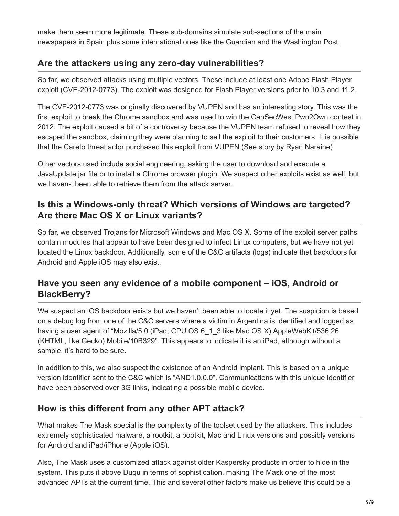make them seem more legitimate. These sub-domains simulate sub-sections of the main newspapers in Spain plus some international ones like the Guardian and the Washington Post.

# **Are the attackers using any zero-day vulnerabilities?**

So far, we observed attacks using multiple vectors. These include at least one Adobe Flash Player exploit (CVE-2012-0773). The exploit was designed for Flash Player versions prior to 10.3 and 11.2.

The [CVE-2012-0773](http://www.cve.mitre.org/cgi-bin/cvename.cgi?name=CVE-2012-0773) was originally discovered by VUPEN and has an interesting story. This was the first exploit to break the Chrome sandbox and was used to win the CanSecWest Pwn2Own contest in 2012. The exploit caused a bit of a controversy because the VUPEN team refused to reveal how they escaped the sandbox, claiming they were planning to sell the exploit to their customers. It is possible that the Careto threat actor purchased this exploit from VUPEN.(See [story by Ryan Naraine\)](http://www.zdnet.com/blog/security/pwn2own-2012-google-chrome-browser-sandbox-first-to-fall/10588)

Other vectors used include social engineering, asking the user to download and execute a JavaUpdate.jar file or to install a Chrome browser plugin. We suspect other exploits exist as well, but we haven-t been able to retrieve them from the attack server.

#### **Is this a Windows-only threat? Which versions of Windows are targeted? Are there Mac OS X or Linux variants?**

So far, we observed Trojans for Microsoft Windows and Mac OS X. Some of the exploit server paths contain modules that appear to have been designed to infect Linux computers, but we have not yet located the Linux backdoor. Additionally, some of the C&C artifacts (logs) indicate that backdoors for Android and Apple iOS may also exist.

#### **Have you seen any evidence of a mobile component – iOS, Android or BlackBerry?**

We suspect an iOS backdoor exists but we haven't been able to locate it yet. The suspicion is based on a debug log from one of the C&C servers where a victim in Argentina is identified and logged as having a user agent of "Mozilla/5.0 (iPad; CPU OS 6\_1\_3 like Mac OS X) AppleWebKit/536.26 (KHTML, like Gecko) Mobile/10B329". This appears to indicate it is an iPad, although without a sample, it's hard to be sure.

In addition to this, we also suspect the existence of an Android implant. This is based on a unique version identifier sent to the C&C which is "AND1.0.0.0". Communications with this unique identifier have been observed over 3G links, indicating a possible mobile device.

# **How is this different from any other APT attack?**

What makes The Mask special is the complexity of the toolset used by the attackers. This includes extremely sophisticated malware, a rootkit, a bootkit, Mac and Linux versions and possibly versions for Android and iPad/iPhone (Apple iOS).

Also, The Mask uses a customized attack against older Kaspersky products in order to hide in the system. This puts it above Duqu in terms of sophistication, making The Mask one of the most advanced APTs at the current time. This and several other factors make us believe this could be a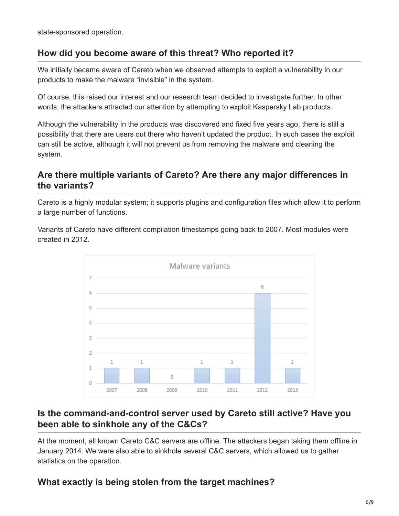state-sponsored operation.

#### **How did you become aware of this threat? Who reported it?**

We initially became aware of Careto when we observed attempts to exploit a vulnerability in our products to make the malware "invisible" in the system.

Of course, this raised our interest and our research team decided to investigate further. In other words, the attackers attracted our attention by attempting to exploit Kaspersky Lab products.

Although the vulnerability in the products was discovered and fixed five years ago, there is still a possibility that there are users out there who haven't updated the product. In such cases the exploit can still be active, although it will not prevent us from removing the malware and cleaning the system.

### **Are there multiple variants of Careto? Are there any major differences in the variants?**

Careto is a highly modular system; it supports plugins and configuration files which allow it to perform a large number of functions.

Variants of Careto have different compilation timestamps going back to 2007. Most modules were created in 2012.



#### **Is the command-and-control server used by Careto still active? Have you been able to sinkhole any of the C&Cs?**

At the moment, all known Careto C&C servers are offline. The attackers began taking them offline in January 2014. We were also able to sinkhole several C&C servers, which allowed us to gather statistics on the operation.

# **What exactly is being stolen from the target machines?**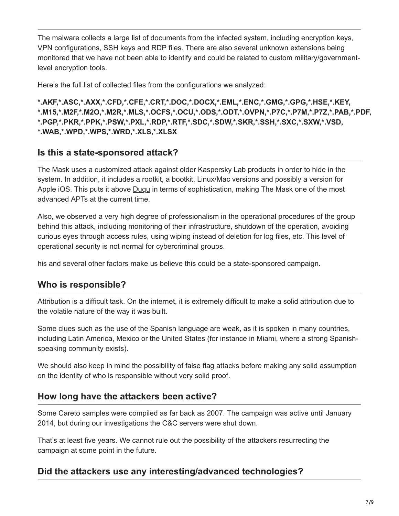The malware collects a large list of documents from the infected system, including encryption keys, VPN configurations, SSH keys and RDP files. There are also several unknown extensions being monitored that we have not been able to identify and could be related to custom military/governmentlevel encryption tools.

Here's the full list of collected files from the configurations we analyzed:

**\*.AKF,\*.ASC,\*.AXX,\*.CFD,\*.CFE,\*.CRT,\*.DOC,\*.DOCX,\*.EML,\*.ENC,\*.GMG,\*.GPG,\*.HSE,\*.KEY, \*.M15,\*.M2F,\*.M2O,\*.M2R,\*.MLS,\*.OCFS,\*.OCU,\*.ODS,\*.ODT,\*.OVPN,\*.P7C,\*.P7M,\*.P7Z,\*.PAB,\*.PDF, \*.PGP,\*.PKR,\*.PPK,\*.PSW,\*.PXL,\*.RDP,\*.RTF,\*.SDC,\*.SDW,\*.SKR,\*.SSH,\*.SXC,\*.SXW,\*.VSD, \*.WAB,\*.WPD,\*.WPS,\*.WRD,\*.XLS,\*.XLSX**

#### **Is this a state-sponsored attack?**

The Mask uses a customized attack against older Kaspersky Lab products in order to hide in the system. In addition, it includes a rootkit, a bootkit, Linux/Mac versions and possibly a version for Apple iOS. This puts it above [Duqu](https://securelist.com/duqu-faq-33/32463/) in terms of sophistication, making The Mask one of the most advanced APTs at the current time.

Also, we observed a very high degree of professionalism in the operational procedures of the group behind this attack, including monitoring of their infrastructure, shutdown of the operation, avoiding curious eyes through access rules, using wiping instead of deletion for log files, etc. This level of operational security is not normal for cybercriminal groups.

his and several other factors make us believe this could be a state-sponsored campaign.

# **Who is responsible?**

Attribution is a difficult task. On the internet, it is extremely difficult to make a solid attribution due to the volatile nature of the way it was built.

Some clues such as the use of the Spanish language are weak, as it is spoken in many countries, including Latin America, Mexico or the United States (for instance in Miami, where a strong Spanishspeaking community exists).

We should also keep in mind the possibility of false flag attacks before making any solid assumption on the identity of who is responsible without very solid proof.

#### **How long have the attackers been active?**

Some Careto samples were compiled as far back as 2007. The campaign was active until January 2014, but during our investigations the C&C servers were shut down.

That's at least five years. We cannot rule out the possibility of the attackers resurrecting the campaign at some point in the future.

# **Did the attackers use any interesting/advanced technologies?**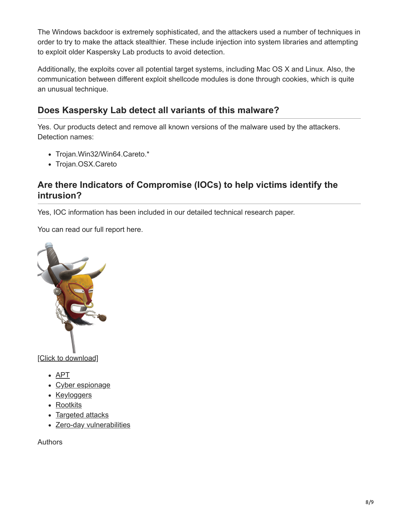The Windows backdoor is extremely sophisticated, and the attackers used a number of techniques in order to try to make the attack stealthier. These include injection into system libraries and attempting to exploit older Kaspersky Lab products to avoid detection.

Additionally, the exploits cover all potential target systems, including Mac OS X and Linux. Also, the communication between different exploit shellcode modules is done through cookies, which is quite an unusual technique.

# **Does Kaspersky Lab detect all variants of this malware?**

Yes. Our products detect and remove all known versions of the malware used by the attackers. Detection names:

- Trojan.Win32/Win64.Careto.\*
- Trojan.OSX.Careto

# **Are there Indicators of Compromise (IOCs) to help victims identify the intrusion?**

Yes, IOC information has been included in our detailed technical research paper.

You can read our full report here.



[\[Click to download\]](https://media.kasperskycontenthub.com/wp-content/uploads/sites/43/2018/03/20133638/unveilingthemask_v1.0.pdf)

- $\bullet$  [APT](https://securelist.com/tag/apt/)
- [Cyber espionage](https://securelist.com/tag/cyber-espionage/)
- [Keyloggers](https://securelist.com/tag/keyloggers/)
- [Rootkits](https://securelist.com/tag/rootkits/)
- [Targeted attacks](https://securelist.com/tag/targeted-attacks/)
- [Zero-day vulnerabilities](https://securelist.com/tag/zero-day-vulnerabilities/)

Authors